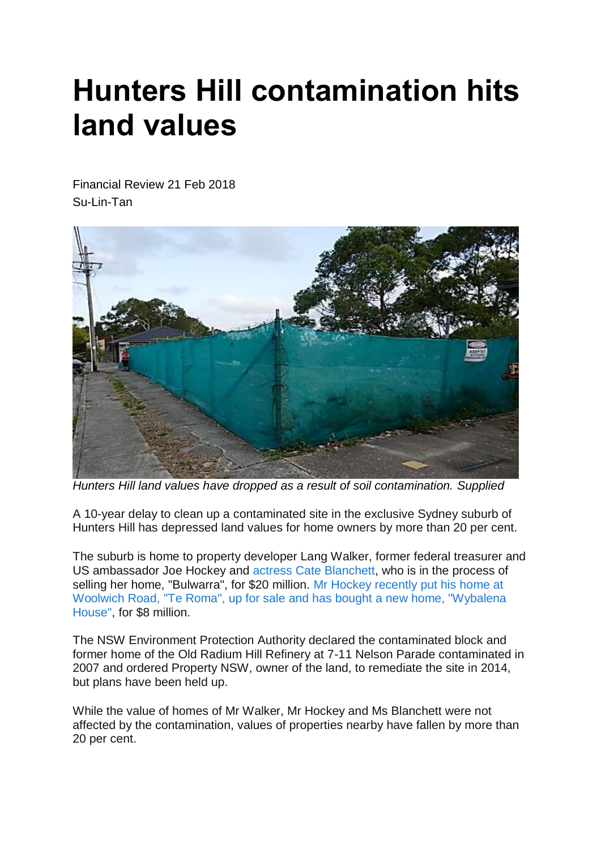## **Hunters Hill contamination hits land values**

Financial Review 21 Feb 2018 Su-Lin-Tan



*Hunters Hill land values have dropped as a result of soil contamination. Supplied*

A 10-year delay to clean up a contaminated site in the exclusive Sydney suburb of Hunters Hill has depressed land values for home owners by more than 20 per cent.

The suburb is home to property developer Lang Walker, former federal treasurer and US ambassador Joe Hockey and actress Cate [Blanchett,](http://www.afr.com/real-estate/cate-blanchett-sells-home-in-hunters-hill-for-20-million-20150903-gjehsf) who is in the process of selling her home, "Bulwarra", for \$20 million. Mr Hockey [recently](http://www.afr.com/real-estate/residential/nsw/joe-hockey-pays-nearly-8-million-for-hunters-hill-mansion-20180218-h0wagv) put his home at Woolwich Road, "Te Roma", up for sale and has bought a new home, ["Wybalena](http://www.afr.com/real-estate/residential/nsw/joe-hockey-pays-nearly-8-million-for-hunters-hill-mansion-20180218-h0wagv) [House",](http://www.afr.com/real-estate/residential/nsw/joe-hockey-pays-nearly-8-million-for-hunters-hill-mansion-20180218-h0wagv) for \$8 million.

The NSW Environment Protection Authority declared the contaminated block and former home of the Old Radium Hill Refinery at 7-11 Nelson Parade contaminated in 2007 and ordered Property NSW, owner of the land, to remediate the site in 2014, but plans have been held up.

While the value of homes of Mr Walker, Mr Hockey and Ms Blanchett were not affected by the contamination, values of properties nearby have fallen by more than 20 per cent.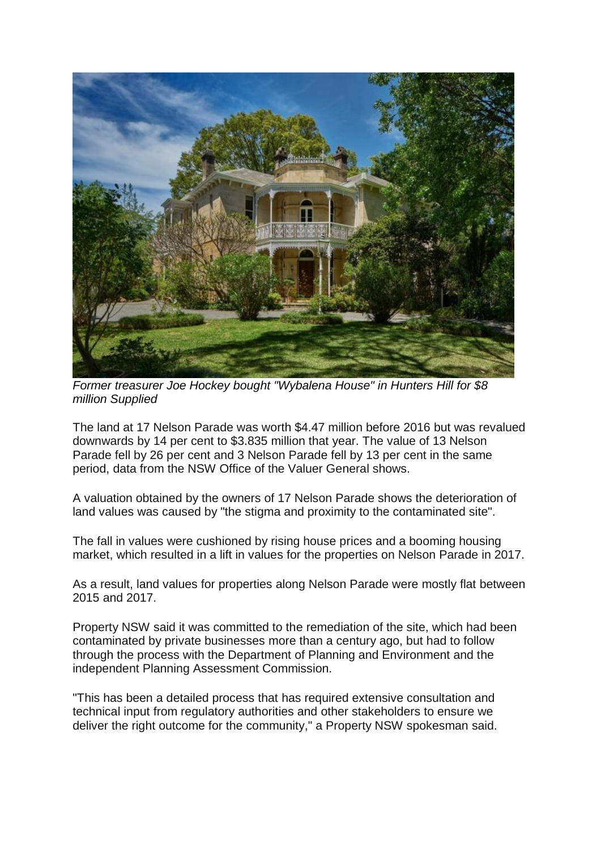

*Former treasurer Joe Hockey bought "Wybalena House" in Hunters Hill for \$8 million Supplied*

The land at 17 Nelson Parade was worth \$4.47 million before 2016 but was revalued downwards by 14 per cent to \$3.835 million that year. The value of 13 Nelson Parade fell by 26 per cent and 3 Nelson Parade fell by 13 per cent in the same period, data from the NSW Office of the Valuer General shows.

A valuation obtained by the owners of 17 Nelson Parade shows the deterioration of land values was caused by "the stigma and proximity to the contaminated site".

The fall in values were cushioned by rising house prices and a booming housing market, which resulted in a lift in values for the properties on Nelson Parade in 2017.

As a result, land values for properties along Nelson Parade were mostly flat between 2015 and 2017.

Property NSW said it was committed to the remediation of the site, which had been contaminated by private businesses more than a century ago, but had to follow through the process with the Department of Planning and Environment and the independent Planning Assessment Commission.

"This has been a detailed process that has required extensive consultation and technical input from regulatory authorities and other stakeholders to ensure we deliver the right outcome for the community," a Property NSW spokesman said.